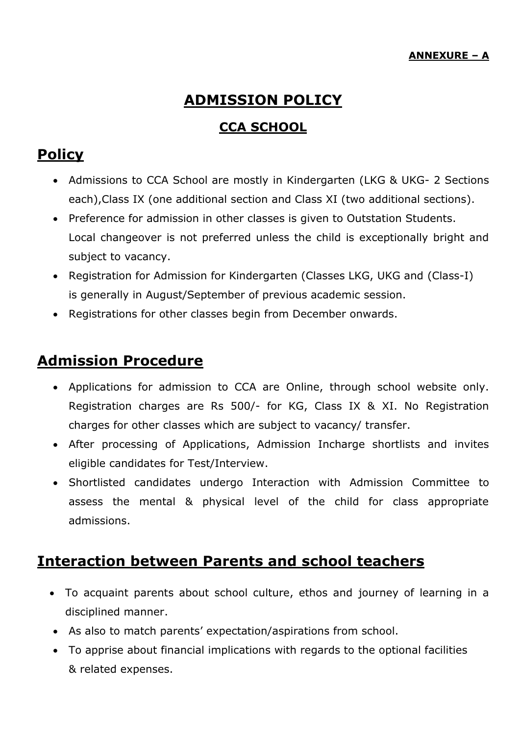# **ADMISSION POLICY**

#### **CCA SCHOOL**

### **Policy**

- Admissions to CCA School are mostly in Kindergarten (LKG & UKG- 2 Sections each),Class IX (one additional section and Class XI (two additional sections).
- Preference for admission in other classes is given to Outstation Students. Local changeover is not preferred unless the child is exceptionally bright and subject to vacancy.
- Registration for Admission for Kindergarten (Classes LKG, UKG and (Class-I) is generally in August/September of previous academic session.
- Registrations for other classes begin from December onwards.

#### **Admission Procedure**

- Applications for admission to CCA are Online, through school website only. Registration charges are Rs 500/- for KG, Class IX & XI. No Registration charges for other classes which are subject to vacancy/ transfer.
- After processing of Applications, Admission Incharge shortlists and invites eligible candidates for Test/Interview.
- Shortlisted candidates undergo Interaction with Admission Committee to assess the mental & physical level of the child for class appropriate admissions.

### **Interaction between Parents and school teachers**

- To acquaint parents about school culture, ethos and journey of learning in a disciplined manner.
- As also to match parents' expectation/aspirations from school.
- To apprise about financial implications with regards to the optional facilities & related expenses.